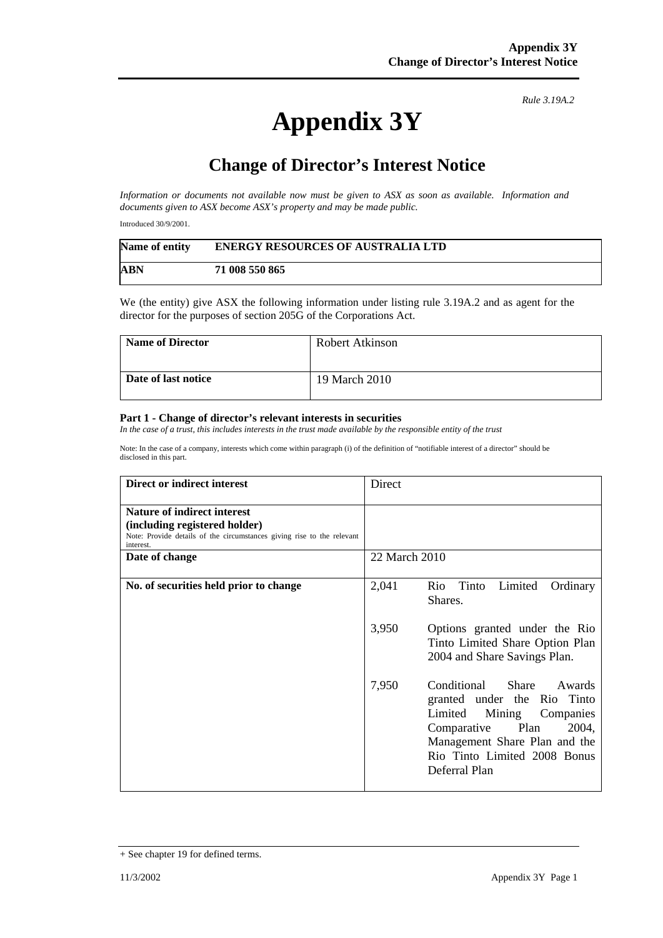## **Appendix 3Y**

*Rule 3.19A.2*

## **Change of Director's Interest Notice**

*Information or documents not available now must be given to ASX as soon as available. Information and documents given to ASX become ASX's property and may be made public.* 

Introduced 30/9/2001.

| Name of entity | <b>ENERGY RESOURCES OF AUSTRALIA LTD</b> |
|----------------|------------------------------------------|
| ABN            | 71 008 550 865                           |

We (the entity) give ASX the following information under listing rule 3.19A.2 and as agent for the director for the purposes of section 205G of the Corporations Act.

| <b>Name of Director</b> | Robert Atkinson |
|-------------------------|-----------------|
| Date of last notice     | 19 March 2010   |

## **Part 1 - Change of director's relevant interests in securities**

*In the case of a trust, this includes interests in the trust made available by the responsible entity of the trust* 

Note: In the case of a company, interests which come within paragraph (i) of the definition of "notifiable interest of a director" should be disclosed in this part.

| Direct or indirect interest                                                                                                                                | Direct                                                                                                                                                                                                            |
|------------------------------------------------------------------------------------------------------------------------------------------------------------|-------------------------------------------------------------------------------------------------------------------------------------------------------------------------------------------------------------------|
| <b>Nature of indirect interest</b><br>(including registered holder)<br>Note: Provide details of the circumstances giving rise to the relevant<br>interest. |                                                                                                                                                                                                                   |
| Date of change                                                                                                                                             | 22 March 2010                                                                                                                                                                                                     |
| No. of securities held prior to change                                                                                                                     | 2,041<br>Rio Tinto<br>Limited<br>Ordinary<br>Shares.                                                                                                                                                              |
|                                                                                                                                                            | 3,950<br>Options granted under the Rio<br>Tinto Limited Share Option Plan<br>2004 and Share Savings Plan.                                                                                                         |
|                                                                                                                                                            | 7,950<br>Conditional<br>Share<br>Awards<br>granted under the Rio Tinto<br>Limited Mining Companies<br>Comparative Plan<br>2004,<br>Management Share Plan and the<br>Rio Tinto Limited 2008 Bonus<br>Deferral Plan |

<sup>+</sup> See chapter 19 for defined terms.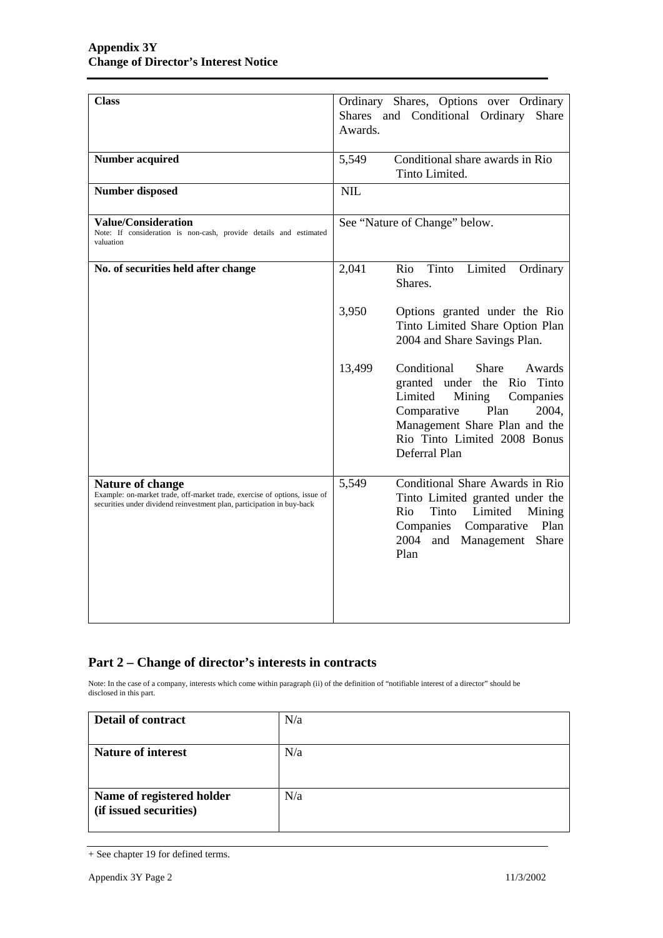| <b>Class</b>                                                                                                                                                                   | Ordinary Shares, Options over Ordinary<br>Shares and Conditional Ordinary<br>Share<br>Awards.                                                                                                                                      |
|--------------------------------------------------------------------------------------------------------------------------------------------------------------------------------|------------------------------------------------------------------------------------------------------------------------------------------------------------------------------------------------------------------------------------|
| <b>Number acquired</b>                                                                                                                                                         | Conditional share awards in Rio<br>5,549<br>Tinto Limited.                                                                                                                                                                         |
| <b>Number disposed</b>                                                                                                                                                         | NIL                                                                                                                                                                                                                                |
| <b>Value/Consideration</b><br>Note: If consideration is non-cash, provide details and estimated<br>valuation                                                                   | See "Nature of Change" below.                                                                                                                                                                                                      |
| No. of securities held after change                                                                                                                                            | Limited<br>2,041<br>Rio<br>Tinto<br>Ordinary<br>Shares.                                                                                                                                                                            |
|                                                                                                                                                                                | 3,950<br>Options granted under the Rio<br>Tinto Limited Share Option Plan<br>2004 and Share Savings Plan.                                                                                                                          |
|                                                                                                                                                                                | Conditional<br><b>Share</b><br>13,499<br>Awards<br>granted under the Rio Tinto<br>Mining<br>Limited<br>Companies<br>Plan<br>Comparative<br>2004,<br>Management Share Plan and the<br>Rio Tinto Limited 2008 Bonus<br>Deferral Plan |
| <b>Nature of change</b><br>Example: on-market trade, off-market trade, exercise of options, issue of<br>securities under dividend reinvestment plan, participation in buy-back | Conditional Share Awards in Rio<br>5,549<br>Tinto Limited granted under the<br>Tinto<br>Limited<br>Rio<br>Mining<br>Companies<br>Plan<br>Comparative<br>2004<br>Share<br>and<br>Management<br>Plan                                 |

## **Part 2 – Change of director's interests in contracts**

Note: In the case of a company, interests which come within paragraph (ii) of the definition of "notifiable interest of a director" should be disclosed in this part.

| <b>Detail of contract</b>                           | N/a |
|-----------------------------------------------------|-----|
| <b>Nature of interest</b>                           | N/a |
| Name of registered holder<br>(if issued securities) | N/a |

<sup>+</sup> See chapter 19 for defined terms.